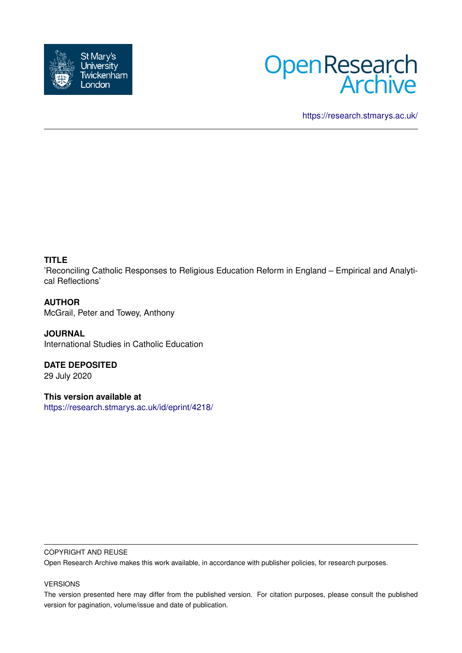



<https://research.stmarys.ac.uk/>

# **TITLE**

'Reconciling Catholic Responses to Religious Education Reform in England – Empirical and Analytical Reflections'

# **AUTHOR**

McGrail, Peter and Towey, Anthony

**JOURNAL** International Studies in Catholic Education

**DATE DEPOSITED** 29 July 2020

**This version available at** <https://research.stmarys.ac.uk/id/eprint/4218/>

### COPYRIGHT AND REUSE

Open Research Archive makes this work available, in accordance with publisher policies, for research purposes.

## VERSIONS

The version presented here may differ from the published version. For citation purposes, please consult the published version for pagination, volume/issue and date of publication.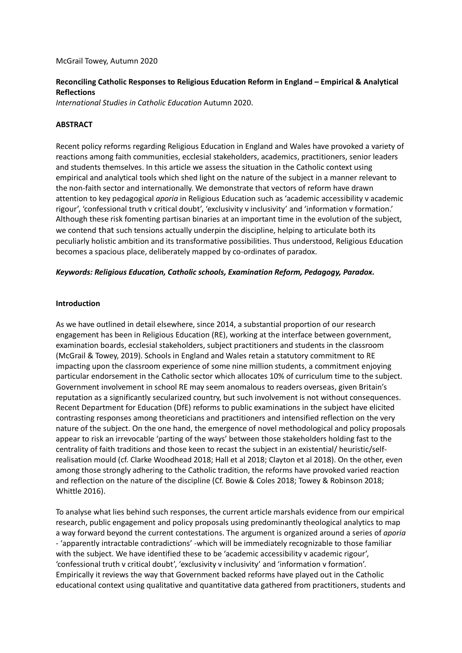McGrail Towey, Autumn 2020

# **Reconciling Catholic Responses to Religious Education Reform in England – Empirical & Analytical Reflections**

*International Studies in Catholic Education* Autumn 2020.

## **ABSTRACT**

Recent policy reforms regarding Religious Education in England and Wales have provoked a variety of reactions among faith communities, ecclesial stakeholders, academics, practitioners, senior leaders and students themselves. In this article we assess the situation in the Catholic context using empirical and analytical tools which shed light on the nature of the subject in a manner relevant to the non-faith sector and internationally. We demonstrate that vectors of reform have drawn attention to key pedagogical *aporia* in Religious Education such as 'academic accessibility v academic rigour', 'confessional truth v critical doubt', 'exclusivity v inclusivity' and 'information v formation.' Although these risk fomenting partisan binaries at an important time in the evolution of the subject, we contend that such tensions actually underpin the discipline, helping to articulate both its peculiarly holistic ambition and its transformative possibilities. Thus understood, Religious Education becomes a spacious place, deliberately mapped by co-ordinates of paradox.

## *Keywords: Religious Education, Catholic schools, Examination Reform, Pedagogy, Paradox.*

### **Introduction**

As we have outlined in detail elsewhere, since 2014, a substantial proportion of our research engagement has been in Religious Education (RE), working at the interface between government, examination boards, ecclesial stakeholders, subject practitioners and students in the classroom (McGrail & Towey, 2019). Schools in England and Wales retain a statutory commitment to RE impacting upon the classroom experience of some nine million students, a commitment enjoying particular endorsement in the Catholic sector which allocates 10% of curriculum time to the subject. Government involvement in school RE may seem anomalous to readers overseas, given Britain's reputation as a significantly secularized country, but such involvement is not without consequences. Recent Department for Education (DfE) reforms to public examinations in the subject have elicited contrasting responses among theoreticians and practitioners and intensified reflection on the very nature of the subject. On the one hand, the emergence of novel methodological and policy proposals appear to risk an irrevocable 'parting of the ways' between those stakeholders holding fast to the centrality of faith traditions and those keen to recast the subject in an existential/ heuristic/selfrealisation mould (cf. Clarke Woodhead 2018; Hall et al 2018; Clayton et al 2018). On the other, even among those strongly adhering to the Catholic tradition, the reforms have provoked varied reaction and reflection on the nature of the discipline (Cf. Bowie & Coles 2018; Towey & Robinson 2018; Whittle 2016).

To analyse what lies behind such responses, the current article marshals evidence from our empirical research, public engagement and policy proposals using predominantly theological analytics to map a way forward beyond the current contestations. The argument is organized around a series of *aporia*  - 'apparently intractable contradictions' -which will be immediately recognizable to those familiar with the subject. We have identified these to be 'academic accessibility v academic rigour', 'confessional truth v critical doubt', 'exclusivity v inclusivity' and 'information v formation'. Empirically it reviews the way that Government backed reforms have played out in the Catholic educational context using qualitative and quantitative data gathered from practitioners, students and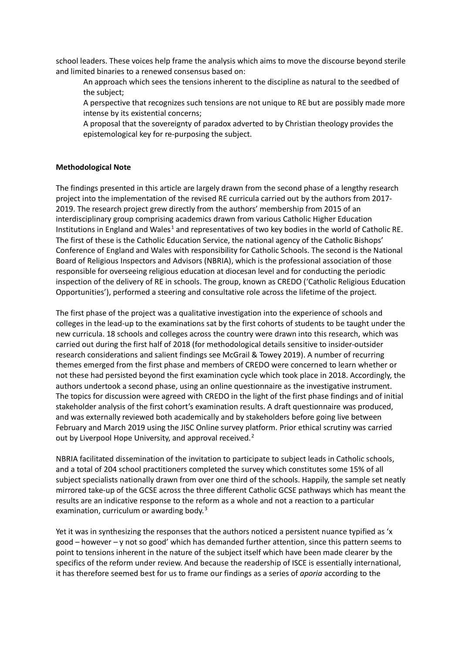school leaders. These voices help frame the analysis which aims to move the discourse beyond sterile and limited binaries to a renewed consensus based on:

An approach which sees the tensions inherent to the discipline as natural to the seedbed of the subject;

A perspective that recognizes such tensions are not unique to RE but are possibly made more intense by its existential concerns;

A proposal that the sovereignty of paradox adverted to by Christian theology provides the epistemological key for re-purposing the subject.

### **Methodological Note**

The findings presented in this article are largely drawn from the second phase of a lengthy research project into the implementation of the revised RE curricula carried out by the authors from 2017- 2019. The research project grew directly from the authors' membership from 2015 of an interdisciplinary group comprising academics drawn from various Catholic Higher Education Institutions in England and Wales<sup>[1](#page-14-0)</sup> and representatives of two key bodies in the world of Catholic RE. The first of these is the Catholic Education Service, the national agency of the Catholic Bishops' Conference of England and Wales with responsibility for Catholic Schools. The second is the National Board of Religious Inspectors and Advisors (NBRIA), which is the professional association of those responsible for overseeing religious education at diocesan level and for conducting the periodic inspection of the delivery of RE in schools. The group, known as CREDO ('Catholic Religious Education Opportunities'), performed a steering and consultative role across the lifetime of the project.

The first phase of the project was a qualitative investigation into the experience of schools and colleges in the lead-up to the examinations sat by the first cohorts of students to be taught under the new curricula. 18 schools and colleges across the country were drawn into this research, which was carried out during the first half of 2018 (for methodological details sensitive to insider-outsider research considerations and salient findings see McGrail & Towey 2019). A number of recurring themes emerged from the first phase and members of CREDO were concerned to learn whether or not these had persisted beyond the first examination cycle which took place in 2018. Accordingly, the authors undertook a second phase, using an online questionnaire as the investigative instrument. The topics for discussion were agreed with CREDO in the light of the first phase findings and of initial stakeholder analysis of the first cohort's examination results. A draft questionnaire was produced, and was externally reviewed both academically and by stakeholders before going live between February and March 2019 using the JISC Online survey platform. Prior ethical scrutiny was carried out by Liverpool Hope University, and approval received.<sup>[2](#page-14-1)</sup>

NBRIA facilitated dissemination of the invitation to participate to subject leads in Catholic schools, and a total of 204 school practitioners completed the survey which constitutes some 15% of all subject specialists nationally drawn from over one third of the schools. Happily, the sample set neatly mirrored take-up of the GCSE across the three different Catholic GCSE pathways which has meant the results are an indicative response to the reform as a whole and not a reaction to a particular examination, curriculum or awarding body.<sup>[3](#page-14-2)</sup>

Yet it was in synthesizing the responses that the authors noticed a persistent nuance typified as 'x good – however – y not so good' which has demanded further attention, since this pattern seems to point to tensions inherent in the nature of the subject itself which have been made clearer by the specifics of the reform under review. And because the readership of ISCE is essentially international, it has therefore seemed best for us to frame our findings as a series of *aporia* according to the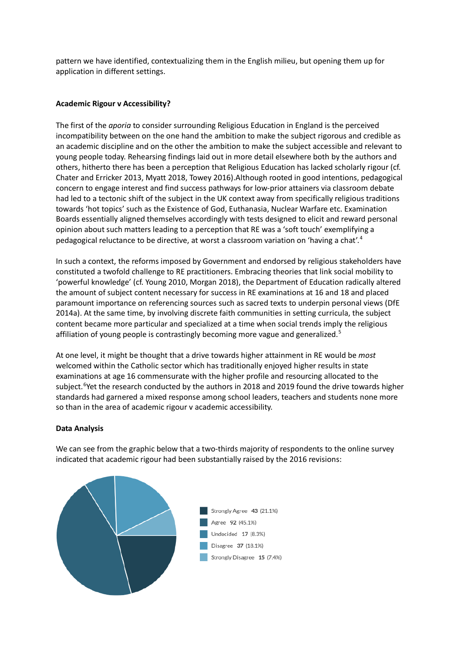pattern we have identified, contextualizing them in the English milieu, but opening them up for application in different settings.

### **Academic Rigour v Accessibility?**

The first of the *aporia* to consider surrounding Religious Education in England is the perceived incompatibility between on the one hand the ambition to make the subject rigorous and credible as an academic discipline and on the other the ambition to make the subject accessible and relevant to young people today. Rehearsing findings laid out in more detail elsewhere both by the authors and others, hitherto there has been a perception that Religious Education has lacked scholarly rigour (cf. Chater and Erricker 2013, Myatt 2018, Towey 2016).Although rooted in good intentions, pedagogical concern to engage interest and find success pathways for low-prior attainers via classroom debate had led to a tectonic shift of the subject in the UK context away from specifically religious traditions towards 'hot topics' such as the Existence of God, Euthanasia, Nuclear Warfare etc. Examination Boards essentially aligned themselves accordingly with tests designed to elicit and reward personal opinion about such matters leading to a perception that RE was a 'soft touch' exemplifying a pedagogical reluctance to be directive, at worst a classroom variation on 'having a chat'.[4](#page-14-3)

In such a context, the reforms imposed by Government and endorsed by religious stakeholders have constituted a twofold challenge to RE practitioners. Embracing theories that link social mobility to 'powerful knowledge' (cf. Young 2010, Morgan 2018), the Department of Education radically altered the amount of subject content necessary for success in RE examinations at 16 and 18 and placed paramount importance on referencing sources such as sacred texts to underpin personal views (DfE 2014a). At the same time, by involving discrete faith communities in setting curricula, the subject content became more particular and specialized at a time when social trends imply the religious affiliation of young people is contrastingly becoming more vague and generalized.<sup>[5](#page-14-4)</sup>

At one level, it might be thought that a drive towards higher attainment in RE would be *most*  welcomed within the Catholic sector which has traditionally enjoyed higher results in state examinations at age 16 commensurate with the higher profile and resourcing allocated to the subject.<sup>[6](#page-14-5)</sup>Yet the research conducted by the authors in 2018 and 2019 found the drive towards higher standards had garnered a mixed response among school leaders, teachers and students none more so than in the area of academic rigour v academic accessibility.

### **Data Analysis**

We can see from the graphic below that a two-thirds majority of respondents to the online survey indicated that academic rigour had been substantially raised by the 2016 revisions:

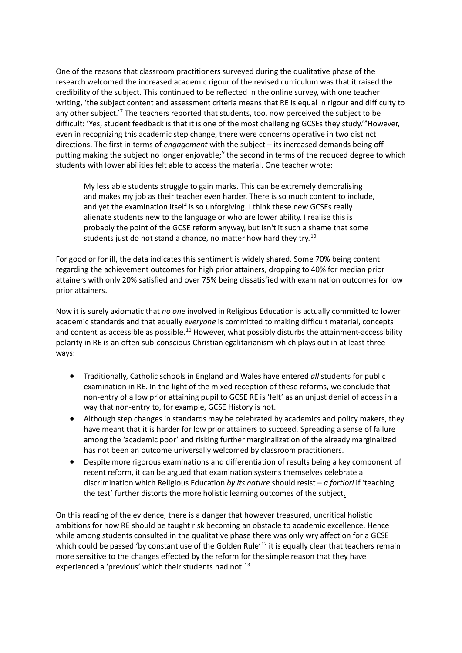One of the reasons that classroom practitioners surveyed during the qualitative phase of the research welcomed the increased academic rigour of the revised curriculum was that it raised the credibility of the subject. This continued to be reflected in the online survey, with one teacher writing, 'the subject content and assessment criteria means that RE is equal in rigour and difficulty to any other subject.<sup>'[7](#page-14-6)</sup> The teachers reported that students, too, now perceived the subject to be difficult: 'Yes, student feedback is that it is one of the most challenging GCSEs they study.'<sup>[8](#page-14-7)</sup> However, even in recognizing this academic step change, there were concerns operative in two distinct directions. The first in terms of *engagement* with the subject – its increased demands being off-putting making the subject no longer enjoyable;<sup>[9](#page-15-0)</sup> the second in terms of the reduced degree to which students with lower abilities felt able to access the material. One teacher wrote:

My less able students struggle to gain marks. This can be extremely demoralising and makes my job as their teacher even harder. There is so much content to include, and yet the examination itself is so unforgiving. I think these new GCSEs really alienate students new to the language or who are lower ability. I realise this is probably the point of the GCSE reform anyway, but isn't it such a shame that some students just do not stand a chance, no matter how hard they try.<sup>[10](#page-15-1)</sup>

For good or for ill, the data indicates this sentiment is widely shared. Some 70% being content regarding the achievement outcomes for high prior attainers, dropping to 40% for median prior attainers with only 20% satisfied and over 75% being dissatisfied with examination outcomes for low prior attainers.

Now it is surely axiomatic that *no one* involved in Religious Education is actually committed to lower academic standards and that equally *everyone* is committed to making difficult material, concepts and content as accessible as possible.<sup>[11](#page-15-2)</sup> However, what possibly disturbs the attainment-accessibility polarity in RE is an often sub-conscious Christian egalitarianism which plays out in at least three ways:

- Traditionally, Catholic schools in England and Wales have entered *all* students for public examination in RE. In the light of the mixed reception of these reforms, we conclude that non-entry of a low prior attaining pupil to GCSE RE is 'felt' as an unjust denial of access in a way that non-entry to, for example, GCSE History is not.
- Although step changes in standards may be celebrated by academics and policy makers, they have meant that it is harder for low prior attainers to succeed. Spreading a sense of failure among the 'academic poor' and risking further marginalization of the already marginalized has not been an outcome universally welcomed by classroom practitioners.
- Despite more rigorous examinations and differentiation of results being a key component of recent reform, it can be argued that examination systems themselves celebrate a discrimination which Religious Education *by its nature* should resist – *a fortiori* if 'teaching the test' further distorts the more holistic learning outcomes of the subject.

On this reading of the evidence, there is a danger that however treasured, uncritical holistic ambitions for how RE should be taught risk becoming an obstacle to academic excellence. Hence while among students consulted in the qualitative phase there was only wry affection for a GCSE which could be passed 'by constant use of the Golden Rule'<sup>[12](#page-15-3)</sup> it is equally clear that teachers remain more sensitive to the changes effected by the reform for the simple reason that they have experienced a 'previous' which their students had not.<sup>[13](#page-15-4)</sup>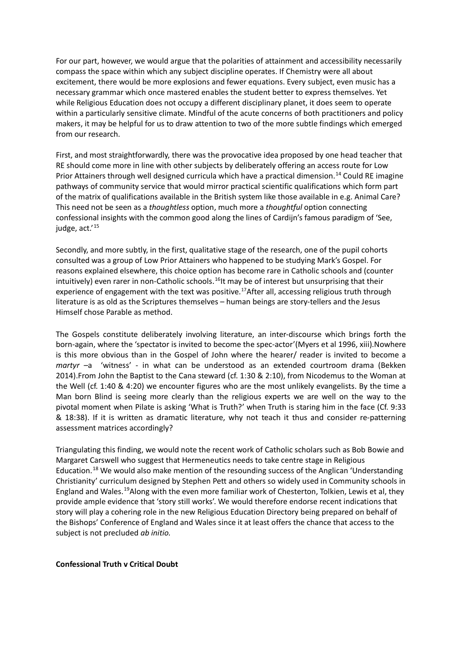For our part, however, we would argue that the polarities of attainment and accessibility necessarily compass the space within which any subject discipline operates. If Chemistry were all about excitement, there would be more explosions and fewer equations. Every subject, even music has a necessary grammar which once mastered enables the student better to express themselves. Yet while Religious Education does not occupy a different disciplinary planet, it does seem to operate within a particularly sensitive climate. Mindful of the acute concerns of both practitioners and policy makers, it may be helpful for us to draw attention to two of the more subtle findings which emerged from our research.

First, and most straightforwardly, there was the provocative idea proposed by one head teacher that RE should come more in line with other subjects by deliberately offering an access route for Low Prior Attainers through well designed curricula which have a practical dimension.[14](#page-15-5) Could RE imagine pathways of community service that would mirror practical scientific qualifications which form part of the matrix of qualifications available in the British system like those available in e.g. Animal Care? This need not be seen as a *thoughtless* option, much more a *thoughtful* option connecting confessional insights with the common good along the lines of Cardijn's famous paradigm of 'See, judge, act.'<sup>[15](#page-15-6)</sup>

Secondly, and more subtly, in the first, qualitative stage of the research, one of the pupil cohorts consulted was a group of Low Prior Attainers who happened to be studying Mark's Gospel. For reasons explained elsewhere, this choice option has become rare in Catholic schools and (counter intuitively) even rarer in non-Catholic schools.<sup>[16](#page-15-7)</sup>It may be of interest but unsurprising that their experience of engagement with the text was positive.<sup>17</sup>After all, accessing religious truth through literature is as old as the Scriptures themselves – human beings are story-tellers and the Jesus Himself chose Parable as method.

The Gospels constitute deliberately involving literature, an inter-discourse which brings forth the born-again, where the 'spectator is invited to become the spec-actor'(Myers et al 1996, xiii).Nowhere is this more obvious than in the Gospel of John where the hearer/ reader is invited to become a *martyr –*a 'witness' - in what can be understood as an extended courtroom drama (Bekken 2014).From John the Baptist to the Cana steward (cf. 1:30 & 2:10), from Nicodemus to the Woman at the Well (cf. 1:40 & 4:20) we encounter figures who are the most unlikely evangelists. By the time a Man born Blind is seeing more clearly than the religious experts we are well on the way to the pivotal moment when Pilate is asking 'What is Truth?' when Truth is staring him in the face (Cf. 9:33 & 18:38). If it is written as dramatic literature, why not teach it thus and consider re-patterning assessment matrices accordingly?

Triangulating this finding, we would note the recent work of Catholic scholars such as Bob Bowie and Margaret Carswell who suggest that Hermeneutics needs to take centre stage in Religious Education.<sup>[18](#page-15-9)</sup> We would also make mention of the resounding success of the Anglican 'Understanding Christianity' curriculum designed by Stephen Pett and others so widely used in Community schools in England and Wales.[19](#page-15-10)Along with the even more familiar work of Chesterton, Tolkien, Lewis et al, they provide ample evidence that 'story still works'. We would therefore endorse recent indications that story will play a cohering role in the new Religious Education Directory being prepared on behalf of the Bishops' Conference of England and Wales since it at least offers the chance that access to the subject is not precluded *ab initio.*

#### **Confessional Truth v Critical Doubt**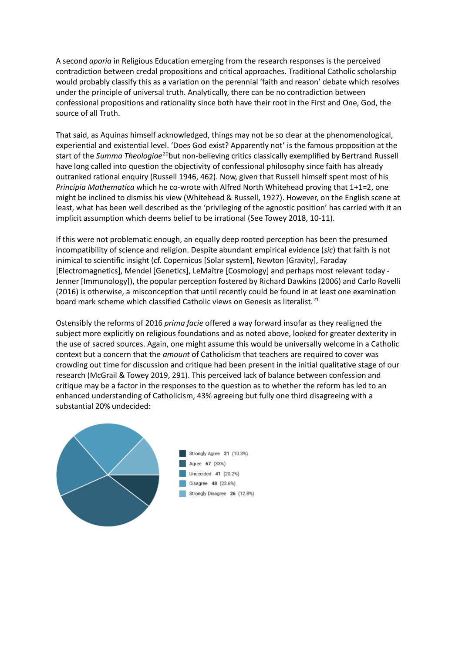A second *aporia* in Religious Education emerging from the research responses is the perceived contradiction between credal propositions and critical approaches. Traditional Catholic scholarship would probably classify this as a variation on the perennial 'faith and reason' debate which resolves under the principle of universal truth. Analytically, there can be no contradiction between confessional propositions and rationality since both have their root in the First and One, God, the source of all Truth.

That said, as Aquinas himself acknowledged, things may not be so clear at the phenomenological, experiential and existential level. 'Does God exist? Apparently not' is the famous proposition at the start of the *Summa Theologiae*[20](#page-15-11)but non-believing critics classically exemplified by Bertrand Russell have long called into question the objectivity of confessional philosophy since faith has already outranked rational enquiry (Russell 1946, 462). Now, given that Russell himself spent most of his *Principia Mathematica* which he co-wrote with Alfred North Whitehead proving that 1+1=2, one might be inclined to dismiss his view (Whitehead & Russell, 1927). However, on the English scene at least, what has been well described as the 'privileging of the agnostic position' has carried with it an implicit assumption which deems belief to be irrational (See Towey 2018, 10-11).

If this were not problematic enough, an equally deep rooted perception has been the presumed incompatibility of science and religion. Despite abundant empirical evidence (*sic*) that faith is not inimical to scientific insight (cf. Copernicus [Solar system], Newton [Gravity], Faraday [Electromagnetics], Mendel [Genetics], LeMaître [Cosmology] and perhaps most relevant today - Jenner [Immunology]), the popular perception fostered by Richard Dawkins (2006) and Carlo Rovelli (2016) is otherwise, a misconception that until recently could be found in at least one examination board mark scheme which classified Catholic views on Genesis as literalist.<sup>[21](#page-15-12)</sup>

Ostensibly the reforms of 2016 *prima facie* offered a way forward insofar as they realigned the subject more explicitly on religious foundations and as noted above, looked for greater dexterity in the use of sacred sources. Again, one might assume this would be universally welcome in a Catholic context but a concern that the *amount* of Catholicism that teachers are required to cover was crowding out time for discussion and critique had been present in the initial qualitative stage of our research (McGrail & Towey 2019, 291). This perceived lack of balance between confession and critique may be a factor in the responses to the question as to whether the reform has led to an enhanced understanding of Catholicism, 43% agreeing but fully one third disagreeing with a substantial 20% undecided:

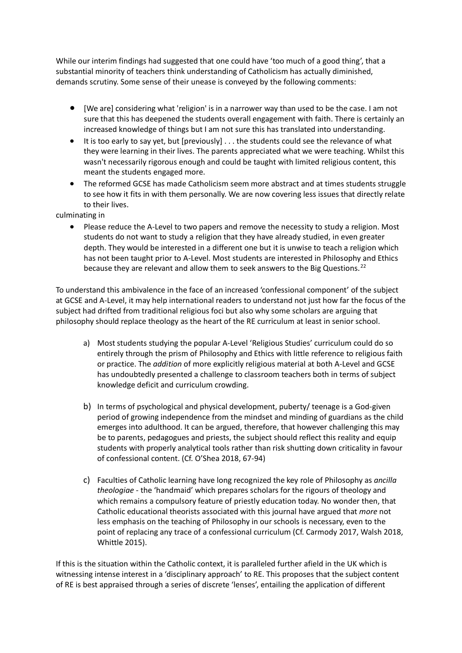While our interim findings had suggested that one could have 'too much of a good thing', that a substantial minority of teachers think understanding of Catholicism has actually diminished, demands scrutiny. Some sense of their unease is conveyed by the following comments:

- [We are] considering what 'religion' is in a narrower way than used to be the case. I am not sure that this has deepened the students overall engagement with faith. There is certainly an increased knowledge of things but I am not sure this has translated into understanding.
- It is too early to say yet, but [previously] . . . the students could see the relevance of what they were learning in their lives. The parents appreciated what we were teaching. Whilst this wasn't necessarily rigorous enough and could be taught with limited religious content, this meant the students engaged more.
- The reformed GCSE has made Catholicism seem more abstract and at times students struggle to see how it fits in with them personally. We are now covering less issues that directly relate to their lives.

culminating in

• Please reduce the A-Level to two papers and remove the necessity to study a religion. Most students do not want to study a religion that they have already studied, in even greater depth. They would be interested in a different one but it is unwise to teach a religion which has not been taught prior to A-Level. Most students are interested in Philosophy and Ethics because they are relevant and allow them to seek answers to the Big Questions.<sup>[22](#page-15-13)</sup>

To understand this ambivalence in the face of an increased 'confessional component' of the subject at GCSE and A-Level, it may help international readers to understand not just how far the focus of the subject had drifted from traditional religious foci but also why some scholars are arguing that philosophy should replace theology as the heart of the RE curriculum at least in senior school.

- a) Most students studying the popular A-Level 'Religious Studies' curriculum could do so entirely through the prism of Philosophy and Ethics with little reference to religious faith or practice. The *addition* of more explicitly religious material at both A-Level and GCSE has undoubtedly presented a challenge to classroom teachers both in terms of subject knowledge deficit and curriculum crowding.
- b) In terms of psychological and physical development, puberty/ teenage is a God-given period of growing independence from the mindset and minding of guardians as the child emerges into adulthood. It can be argued, therefore, that however challenging this may be to parents, pedagogues and priests, the subject should reflect this reality and equip students with properly analytical tools rather than risk shutting down criticality in favour of confessional content. (Cf. O'Shea 2018, 67-94)
- c) Faculties of Catholic learning have long recognized the key role of Philosophy as *ancilla theologiae -* the 'handmaid' which prepares scholars for the rigours of theology and which remains a compulsory feature of priestly education today. No wonder then, that Catholic educational theorists associated with this journal have argued that *more* not less emphasis on the teaching of Philosophy in our schools is necessary, even to the point of replacing any trace of a confessional curriculum (Cf. Carmody 2017, Walsh 2018, Whittle 2015).

If this is the situation within the Catholic context, it is paralleled further afield in the UK which is witnessing intense interest in a 'disciplinary approach' to RE. This proposes that the subject content of RE is best appraised through a series of discrete 'lenses', entailing the application of different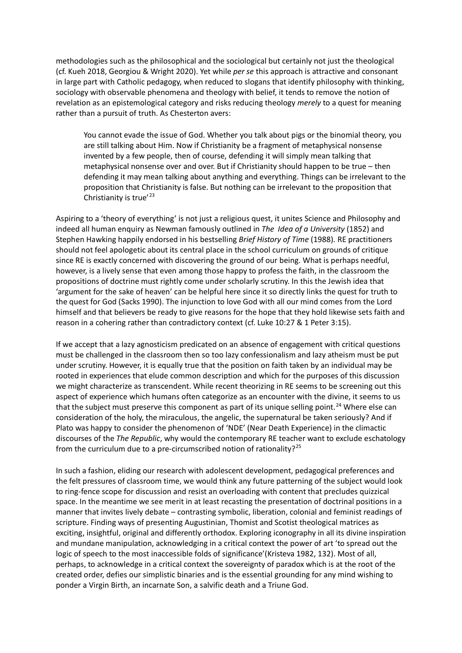methodologies such as the philosophical and the sociological but certainly not just the theological (cf. Kueh 2018, Georgiou & Wright 2020). Yet while *per se* this approach is attractive and consonant in large part with Catholic pedagogy, when reduced to slogans that identify philosophy with thinking, sociology with observable phenomena and theology with belief, it tends to remove the notion of revelation as an epistemological category and risks reducing theology *merely* to a quest for meaning rather than a pursuit of truth. As Chesterton avers:

You cannot evade the issue of God. Whether you talk about pigs or the binomial theory, you are still talking about Him. Now if Christianity be a fragment of metaphysical nonsense invented by a few people, then of course, defending it will simply mean talking that metaphysical nonsense over and over. But if Christianity should happen to be true – then defending it may mean talking about anything and everything. Things can be irrelevant to the proposition that Christianity is false. But nothing can be irrelevant to the proposition that Christianity is true'[23](#page-15-14)

Aspiring to a 'theory of everything' is not just a religious quest, it unites Science and Philosophy and indeed all human enquiry as Newman famously outlined in *The Idea of a University* (1852) and Stephen Hawking happily endorsed in his bestselling *Brief History of Time* (1988)*.* RE practitioners should not feel apologetic about its central place in the school curriculum on grounds of critique since RE is exactly concerned with discovering the ground of our being. What is perhaps needful, however, is a lively sense that even among those happy to profess the faith, in the classroom the propositions of doctrine must rightly come under scholarly scrutiny. In this the Jewish idea that 'argument for the sake of heaven' can be helpful here since it so directly links the quest for truth to the quest for God (Sacks 1990). The injunction to love God with all our mind comes from the Lord himself and that believers be ready to give reasons for the hope that they hold likewise sets faith and reason in a cohering rather than contradictory context (cf. Luke 10:27 & 1 Peter 3:15).

If we accept that a lazy agnosticism predicated on an absence of engagement with critical questions must be challenged in the classroom then so too lazy confessionalism and lazy atheism must be put under scrutiny. However, it is equally true that the position on faith taken by an individual may be rooted in experiences that elude common description and which for the purposes of this discussion we might characterize as transcendent. While recent theorizing in RE seems to be screening out this aspect of experience which humans often categorize as an encounter with the divine, it seems to us that the subject must preserve this component as part of its unique selling point.<sup>[24](#page-15-15)</sup> Where else can consideration of the holy, the miraculous, the angelic, the supernatural be taken seriously? And if Plato was happy to consider the phenomenon of 'NDE' (Near Death Experience) in the climactic discourses of the *The Republic*, why would the contemporary RE teacher want to exclude eschatology from the curriculum due to a pre-circumscribed notion of rationality?<sup>[25](#page-15-16)</sup>

In such a fashion, eliding our research with adolescent development, pedagogical preferences and the felt pressures of classroom time, we would think any future patterning of the subject would look to ring-fence scope for discussion and resist an overloading with content that precludes quizzical space. In the meantime we see merit in at least recasting the presentation of doctrinal positions in a manner that invites lively debate – contrasting symbolic, liberation, colonial and feminist readings of scripture. Finding ways of presenting Augustinian, Thomist and Scotist theological matrices as exciting, insightful, original and differently orthodox. Exploring iconography in all its divine inspiration and mundane manipulation, acknowledging in a critical context the power of art 'to spread out the logic of speech to the most inaccessible folds of significance'(Kristeva 1982, 132). Most of all, perhaps, to acknowledge in a critical context the sovereignty of paradox which is at the root of the created order, defies our simplistic binaries and is the essential grounding for any mind wishing to ponder a Virgin Birth, an incarnate Son, a salvific death and a Triune God.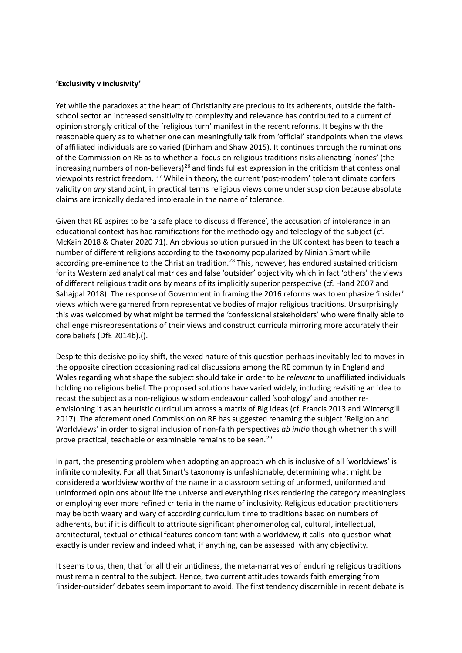### **'Exclusivity v inclusivity'**

Yet while the paradoxes at the heart of Christianity are precious to its adherents, outside the faithschool sector an increased sensitivity to complexity and relevance has contributed to a current of opinion strongly critical of the 'religious turn' manifest in the recent reforms. It begins with the reasonable query as to whether one can meaningfully talk from 'official' standpoints when the views of affiliated individuals are so varied (Dinham and Shaw 2015). It continues through the ruminations of the Commission on RE as to whether a focus on religious traditions risks alienating 'nones' (the increasing numbers of non-believers)<sup>[26](#page-15-17)</sup> and finds fullest expression in the criticism that confessional viewpoints restrict freedom. [27](#page-15-18) While in theory, the current 'post-modern' tolerant climate confers validity on *any* standpoint, in practical terms religious views come under suspicion because absolute claims are ironically declared intolerable in the name of tolerance.

Given that RE aspires to be 'a safe place to discuss difference', the accusation of intolerance in an educational context has had ramifications for the methodology and teleology of the subject (cf. McKain 2018 & Chater 2020 71). An obvious solution pursued in the UK context has been to teach a number of different religions according to the taxonomy popularized by Ninian Smart while according pre-eminence to the Christian tradition.<sup>[28](#page-15-19)</sup> This, however, has endured sustained criticism for its Westernized analytical matrices and false 'outsider' objectivity which in fact 'others' the views of different religious traditions by means of its implicitly superior perspective (cf. Hand 2007 and Sahajpal 2018). The response of Government in framing the 2016 reforms was to emphasize 'insider' views which were garnered from representative bodies of major religious traditions. Unsurprisingly this was welcomed by what might be termed the 'confessional stakeholders' who were finally able to challenge misrepresentations of their views and construct curricula mirroring more accurately their core beliefs (DfE 2014b).().

Despite this decisive policy shift, the vexed nature of this question perhaps inevitably led to moves in the opposite direction occasioning radical discussions among the RE community in England and Wales regarding what shape the subject should take in order to be *relevant* to unaffiliated individuals holding no religious belief. The proposed solutions have varied widely, including revisiting an idea to recast the subject as a non-religious wisdom endeavour called 'sophology' and another reenvisioning it as an heuristic curriculum across a matrix of Big Ideas (cf. Francis 2013 and Wintersgill 2017). The aforementioned Commission on RE has suggested renaming the subject 'Religion and Worldviews' in order to signal inclusion of non-faith perspectives *ab initio* though whether this will prove practical, teachable or examinable remains to be seen.<sup>[29](#page-15-20)</sup>

In part, the presenting problem when adopting an approach which is inclusive of all 'worldviews' is infinite complexity. For all that Smart's taxonomy is unfashionable, determining what might be considered a worldview worthy of the name in a classroom setting of unformed, uniformed and uninformed opinions about life the universe and everything risks rendering the category meaningless or employing ever more refined criteria in the name of inclusivity. Religious education practitioners may be both weary and wary of according curriculum time to traditions based on numbers of adherents, but if it is difficult to attribute significant phenomenological, cultural, intellectual, architectural, textual or ethical features concomitant with a worldview, it calls into question what exactly is under review and indeed what, if anything, can be assessed with any objectivity.

It seems to us, then, that for all their untidiness, the meta-narratives of enduring religious traditions must remain central to the subject. Hence, two current attitudes towards faith emerging from 'insider-outsider' debates seem important to avoid. The first tendency discernible in recent debate is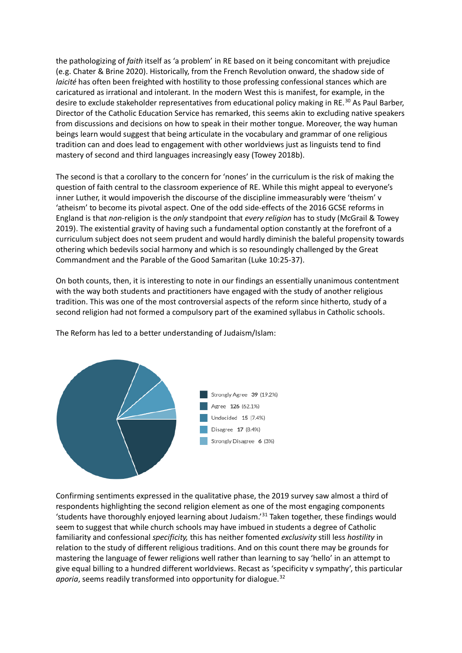the pathologizing of *faith* itself as 'a problem' in RE based on it being concomitant with prejudice (e.g. Chater & Brine 2020). Historically, from the French Revolution onward, the shadow side of *laicité* has often been freighted with hostility to those professing confessional stances which are caricatured as irrational and intolerant. In the modern West this is manifest, for example, in the desire to exclude stakeholder representatives from educational policy making in RE.<sup>[30](#page-15-21)</sup> As Paul Barber, Director of the Catholic Education Service has remarked, this seems akin to excluding native speakers from discussions and decisions on how to speak in their mother tongue. Moreover, the way human beings learn would suggest that being articulate in the vocabulary and grammar of one religious tradition can and does lead to engagement with other worldviews just as linguists tend to find mastery of second and third languages increasingly easy (Towey 2018b).

The second is that a corollary to the concern for 'nones' in the curriculum is the risk of making the question of faith central to the classroom experience of RE. While this might appeal to everyone's inner Luther, it would impoverish the discourse of the discipline immeasurably were 'theism' v 'atheism' to become its pivotal aspect. One of the odd side-effects of the 2016 GCSE reforms in England is that *non*-religion is the *only* standpoint that *every religion* has to study (McGrail & Towey 2019). The existential gravity of having such a fundamental option constantly at the forefront of a curriculum subject does not seem prudent and would hardly diminish the baleful propensity towards othering which bedevils social harmony and which is so resoundingly challenged by the Great Commandment and the Parable of the Good Samaritan (Luke 10:25-37).

On both counts, then, it is interesting to note in our findings an essentially unanimous contentment with the way both students and practitioners have engaged with the study of another religious tradition. This was one of the most controversial aspects of the reform since hitherto, study of a second religion had not formed a compulsory part of the examined syllabus in Catholic schools.



The Reform has led to a better understanding of Judaism/Islam:

Confirming sentiments expressed in the qualitative phase, the 2019 survey saw almost a third of respondents highlighting the second religion element as one of the most engaging components 'students have thoroughly enjoyed learning about Judaism.'<sup>[31](#page-15-22)</sup> Taken together, these findings would seem to suggest that while church schools may have imbued in students a degree of Catholic familiarity and confessional *specificity,* this has neither fomented *exclusivity* still less *hostility* in relation to the study of different religious traditions. And on this count there may be grounds for mastering the language of fewer religions well rather than learning to say 'hello' in an attempt to give equal billing to a hundred different worldviews. Recast as 'specificity v sympathy', this particular *aporia*, seems readily transformed into opportunity for dialogue.<sup>[32](#page-15-23)</sup>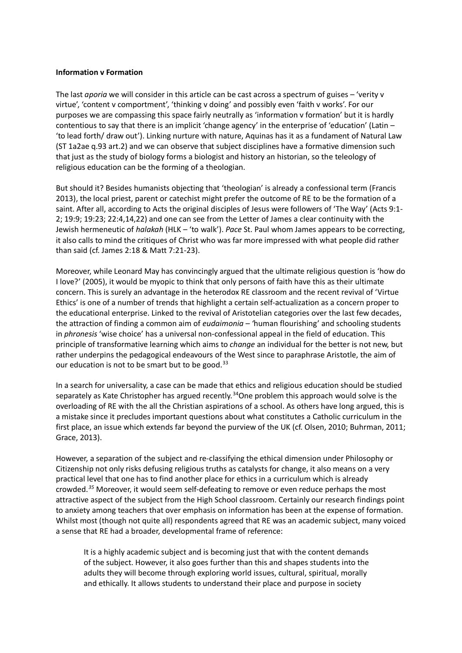#### **Information v Formation**

The last *aporia* we will consider in this article can be cast across a spectrum of guises – 'verity v virtue', 'content v comportment', 'thinking v doing' and possibly even 'faith v works'. For our purposes we are compassing this space fairly neutrally as 'information v formation' but it is hardly contentious to say that there is an implicit 'change agency' in the enterprise of 'education' (Latin – 'to lead forth/ draw out'). Linking nurture with nature, Aquinas has it as a fundament of Natural Law (ST 1a2ae q.93 art.2) and we can observe that subject disciplines have a formative dimension such that just as the study of biology forms a biologist and history an historian, so the teleology of religious education can be the forming of a theologian.

But should it? Besides humanists objecting that 'theologian' is already a confessional term (Francis 2013), the local priest, parent or catechist might prefer the outcome of RE to be the formation of a saint. After all, according to Acts the original disciples of Jesus were followers of 'The Way' (Acts 9:1- 2; 19:9; 19:23; 22:4,14,22) and one can see from the Letter of James a clear continuity with the Jewish hermeneutic of *halakah* (HLK – 'to walk'). *Pace* St. Paul whom James appears to be correcting, it also calls to mind the critiques of Christ who was far more impressed with what people did rather than said (cf. James 2:18 & Matt 7:21-23).

Moreover, while Leonard May has convincingly argued that the ultimate religious question is 'how do I love?' (2005), it would be myopic to think that only persons of faith have this as their ultimate concern. This is surely an advantage in the heterodox RE classroom and the recent revival of 'Virtue Ethics' is one of a number of trends that highlight a certain self-actualization as a concern proper to the educational enterprise. Linked to the revival of Aristotelian categories over the last few decades, the attraction of finding a common aim of *eudaimonia – '*human flourishing' and schooling students in *phronesis* 'wise choice' has a universal non-confessional appeal in the field of education. This principle of transformative learning which aims to *change* an individual for the better is not new, but rather underpins the pedagogical endeavours of the West since to paraphrase Aristotle, the aim of our education is not to be smart but to be good.<sup>[33](#page-15-24)</sup>

In a search for universality, a case can be made that ethics and religious education should be studied separately as Kate Christopher has argued recently.<sup>[34](#page-15-25)</sup>One problem this approach would solve is the overloading of RE with the all the Christian aspirations of a school. As others have long argued, this is a mistake since it precludes important questions about what constitutes a Catholic curriculum in the first place, an issue which extends far beyond the purview of the UK (cf. Olsen, 2010; Buhrman, 2011; Grace, 2013).

However, a separation of the subject and re-classifying the ethical dimension under Philosophy or Citizenship not only risks defusing religious truths as catalysts for change, it also means on a very practical level that one has to find another place for ethics in a curriculum which is already crowded.*[35](#page-15-26)* Moreover, it would seem self-defeating to remove or even reduce perhaps the most attractive aspect of the subject from the High School classroom. Certainly our research findings point to anxiety among teachers that over emphasis on information has been at the expense of formation. Whilst most (though not quite all) respondents agreed that RE was an academic subject, many voiced a sense that RE had a broader, developmental frame of reference:

It is a highly academic subject and is becoming just that with the content demands of the subject. However, it also goes further than this and shapes students into the adults they will become through exploring world issues, cultural, spiritual, morally and ethically. It allows students to understand their place and purpose in society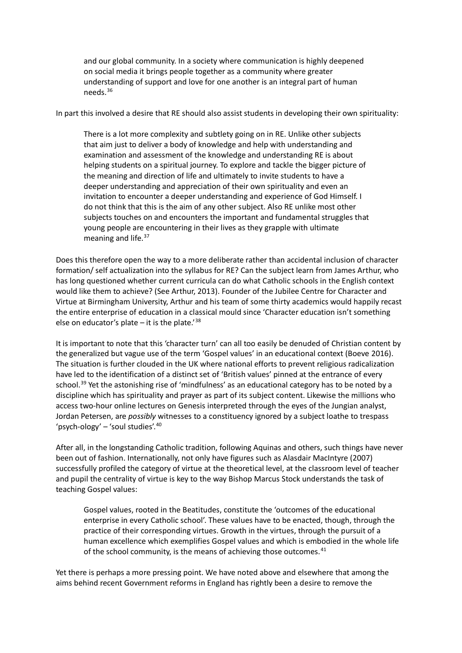and our global community. In a society where communication is highly deepened on social media it brings people together as a community where greater understanding of support and love for one another is an integral part of human needs.[36](#page-15-27)

In part this involved a desire that RE should also assist students in developing their own spirituality:

There is a lot more complexity and subtlety going on in RE. Unlike other subjects that aim just to deliver a body of knowledge and help with understanding and examination and assessment of the knowledge and understanding RE is about helping students on a spiritual journey. To explore and tackle the bigger picture of the meaning and direction of life and ultimately to invite students to have a deeper understanding and appreciation of their own spirituality and even an invitation to encounter a deeper understanding and experience of God Himself. I do not think that this is the aim of any other subject. Also RE unlike most other subjects touches on and encounters the important and fundamental struggles that young people are encountering in their lives as they grapple with ultimate meaning and life.<sup>[37](#page-15-28)</sup>

Does this therefore open the way to a more deliberate rather than accidental inclusion of character formation/ self actualization into the syllabus for RE? Can the subject learn from James Arthur, who has long questioned whether current curricula can do what Catholic schools in the English context would like them to achieve? (See Arthur, 2013). Founder of the Jubilee Centre for Character and Virtue at Birmingham University, Arthur and his team of some thirty academics would happily recast the entire enterprise of education in a classical mould since 'Character education isn't something else on educator's plate – it is the plate.' $38$ 

It is important to note that this 'character turn' can all too easily be denuded of Christian content by the generalized but vague use of the term 'Gospel values' in an educational context (Boeve 2016). The situation is further clouded in the UK where national efforts to prevent religious radicalization have led to the identification of a distinct set of 'British values' pinned at the entrance of every school.<sup>[39](#page-15-30)</sup> Yet the astonishing rise of 'mindfulness' as an educational category has to be noted by a discipline which has spirituality and prayer as part of its subject content. Likewise the millions who access two-hour online lectures on Genesis interpreted through the eyes of the Jungian analyst, Jordan Petersen, are *possibly* witnesses to a constituency ignored by a subject loathe to trespass 'psych-ology' – 'soul studies'.[40](#page-16-0)

After all, in the longstanding Catholic tradition, following Aquinas and others, such things have never been out of fashion. Internationally, not only have figures such as Alasdair MacIntyre (2007) successfully profiled the category of virtue at the theoretical level, at the classroom level of teacher and pupil the centrality of virtue is key to the way Bishop Marcus Stock understands the task of teaching Gospel values:

Gospel values, rooted in the Beatitudes, constitute the 'outcomes of the educational enterprise in every Catholic school'. These values have to be enacted, though, through the practice of their corresponding virtues. Growth in the virtues, through the pursuit of a human excellence which exemplifies Gospel values and which is embodied in the whole life of the school community, is the means of achieving those outcomes.<sup>[41](#page-16-1)</sup>

Yet there is perhaps a more pressing point. We have noted above and elsewhere that among the aims behind recent Government reforms in England has rightly been a desire to remove the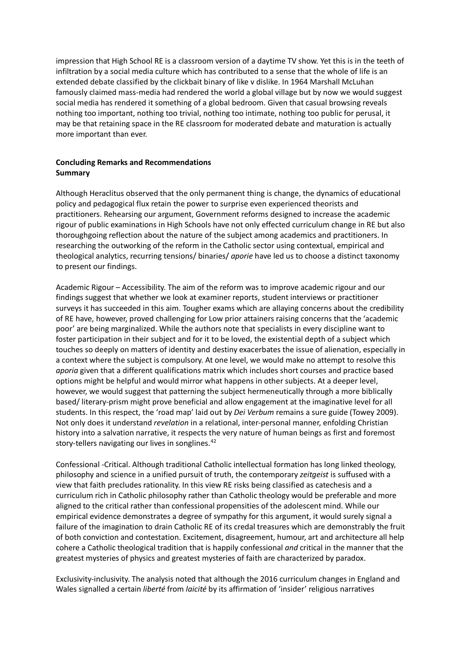impression that High School RE is a classroom version of a daytime TV show. Yet this is in the teeth of infiltration by a social media culture which has contributed to a sense that the whole of life is an extended debate classified by the clickbait binary of like v dislike. In 1964 Marshall McLuhan famously claimed mass-media had rendered the world a global village but by now we would suggest social media has rendered it something of a global bedroom. Given that casual browsing reveals nothing too important, nothing too trivial, nothing too intimate, nothing too public for perusal, it may be that retaining space in the RE classroom for moderated debate and maturation is actually more important than ever.

# **Concluding Remarks and Recommendations Summary**

Although Heraclitus observed that the only permanent thing is change, the dynamics of educational policy and pedagogical flux retain the power to surprise even experienced theorists and practitioners. Rehearsing our argument, Government reforms designed to increase the academic rigour of public examinations in High Schools have not only effected curriculum change in RE but also thoroughgoing reflection about the nature of the subject among academics and practitioners. In researching the outworking of the reform in the Catholic sector using contextual, empirical and theological analytics, recurring tensions/ binaries/ *aporie* have led us to choose a distinct taxonomy to present our findings.

Academic Rigour – Accessibility. The aim of the reform was to improve academic rigour and our findings suggest that whether we look at examiner reports, student interviews or practitioner surveys it has succeeded in this aim. Tougher exams which are allaying concerns about the credibility of RE have, however, proved challenging for Low prior attainers raising concerns that the 'academic poor' are being marginalized. While the authors note that specialists in every discipline want to foster participation in their subject and for it to be loved, the existential depth of a subject which touches so deeply on matters of identity and destiny exacerbates the issue of alienation, especially in a context where the subject is compulsory. At one level, we would make no attempt to resolve this *aporia* given that a different qualifications matrix which includes short courses and practice based options might be helpful and would mirror what happens in other subjects. At a deeper level, however, we would suggest that patterning the subject hermeneutically through a more biblically based/ literary-prism might prove beneficial and allow engagement at the imaginative level for all students. In this respect, the 'road map' laid out by *Dei Verbum* remains a sure guide (Towey 2009). Not only does it understand *revelation* in a relational, inter-personal manner, enfolding Christian history into a salvation narrative, it respects the very nature of human beings as first and foremost story-tellers navigating our lives in songlines.<sup>[42](#page-16-2)</sup>

Confessional -Critical. Although traditional Catholic intellectual formation has long linked theology, philosophy and science in a unified pursuit of truth, the contemporary *zeitgeist* is suffused with a view that faith precludes rationality. In this view RE risks being classified as catechesis and a curriculum rich in Catholic philosophy rather than Catholic theology would be preferable and more aligned to the critical rather than confessional propensities of the adolescent mind. While our empirical evidence demonstrates a degree of sympathy for this argument, it would surely signal a failure of the imagination to drain Catholic RE of its credal treasures which are demonstrably the fruit of both conviction and contestation. Excitement, disagreement, humour, art and architecture all help cohere a Catholic theological tradition that is happily confessional *and* critical in the manner that the greatest mysteries of physics and greatest mysteries of faith are characterized by paradox.

Exclusivity-inclusivity. The analysis noted that although the 2016 curriculum changes in England and Wales signalled a certain *liberté* from *laicité* by its affirmation of 'insider' religious narratives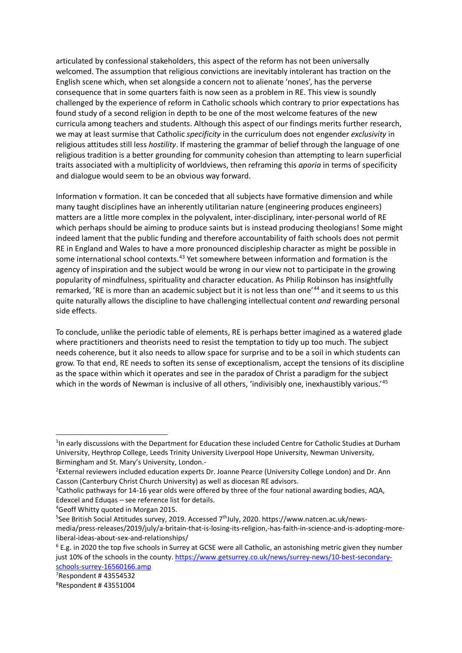articulated by confessional stakeholders, this aspect of the reform has not been universally welcomed. The assumption that religious convictions are inevitably intolerant has traction on the English scene which, when set alongside a concern not to alienate 'nones', has the perverse consequence that in some quarters faith is now seen as a problem in RE. This view is soundly challenged by the experience of reform in Catholic schools which contrary to prior expectations has found study of a second religion in depth to be one of the most welcome features of the new curricula among teachers and students. Although this aspect of our findings merits further research, we may at least surmise that Catholic *specificity* in the curriculum does not engender *exclusivity* in religious attitudes still less *hostility*. If mastering the grammar of belief through the language of one religious tradition is a better grounding for community cohesion than attempting to learn superficial traits associated with a multiplicity of worldviews, then reframing this *aporia* in terms of specificity and dialogue would seem to be an obvious way forward.

Information v formation. It can be conceded that all subjects have formative dimension and while many taught disciplines have an inherently utilitarian nature (engineering produces engineers) matters are a little more complex in the polyvalent, inter-disciplinary, inter-personal world of RE which perhaps should be aiming to produce saints but is instead producing theologians! Some might indeed lament that the public funding and therefore accountability of faith schools does not permit RE in England and Wales to have a more pronounced discipleship character as might be possible in some international school contexts.<sup>[43](#page-16-3)</sup> Yet somewhere between information and formation is the agency of inspiration and the subject would be wrong in our view not to participate in the growing popularity of mindfulness, spirituality and character education. As Philip Robinson has insightfully remarked, 'RE is more than an academic subject but it is not less than one<sup>'[44](#page-16-4)</sup> and it seems to us this quite naturally allows the discipline to have challenging intellectual content *and* rewarding personal side effects.

To conclude, unlike the periodic table of elements, RE is perhaps better imagined as a watered glade where practitioners and theorists need to resist the temptation to tidy up too much. The subject needs coherence, but it also needs to allow space for surprise and to be a soil in which students can grow. To that end, RE needs to soften its sense of exceptionalism, accept the tensions of its discipline as the space within which it operates and see in the paradox of Christ a paradigm for the subject which in the words of Newman is inclusive of all others, 'indivisibly one, inexhaustibly various.'<sup>[45](#page-16-5)</sup>

<span id="page-14-3"></span><sup>4</sup>Geoff Whitty quoted in Morgan 2015.

<span id="page-14-0"></span><sup>&</sup>lt;sup>1</sup>In early discussions with the Department for Education these included Centre for Catholic Studies at Durham University, Heythrop College, Leeds Trinity University Liverpool Hope University, Newman University, Birmingham and St. Mary's University, London.- 2

<span id="page-14-1"></span><sup>&</sup>lt;sup>2</sup>External reviewers included education experts Dr. Joanne Pearce (University College London) and Dr. Ann Casson (Canterbury Christ Church University) as well as diocesan RE advisors.

<span id="page-14-2"></span><sup>&</sup>lt;sup>3</sup>Catholic pathways for 14-16 year olds were offered by three of the four national awarding bodies, AQA, Edexcel and Eduqas – see reference list for details. 4

<span id="page-14-4"></span><sup>&</sup>lt;sup>5</sup>See British Social Attitudes survey, 2019. Accessed 7<sup>th</sup>July, 2020. https://www.natcen.ac.uk/newsmedia/press-releases/2019/july/a-britain-that-is-losing-its-religion,-has-faith-in-science-and-is-adopting-moreliberal-ideas-about-sex-and-relationships/

<span id="page-14-5"></span><sup>&</sup>lt;sup>6</sup> E.g. in 2020 the top five schools in Surrey at GCSE were all Catholic, an astonishing metric given they number just 10% of the schools in the county. [https://www.getsurrey.co.uk/news/surrey-news/10-best-secondary](https://url6.mailanyone.net/v1/?m=1jsmE3-0006aW-46&i=57e1b682&c=tPtBnttYvjlZ2j0WL_L1BXvxlz5iFqWnqZfJvpyAb61fyhljiflnbdx7f813YBIYJUQy9rbPRoUI8NIp9CCzg6WcpfKWRuKF3onb0wppoI8YF5tD-bopHOp-xd-AmROVcQHbK56vf1pwLYixG6pKpwQIFjyI-8GVGonMwTgy8mYIKT7zZVTqw3s_DiyQp2JHkz943dVmlJfPMhpt32pLz3JPK9vxpYHZzvwHYU_FCDgB8w9BDdBA_vV66d5i3ZZo-NGkbfiBN_X3JBYBxawm4VJZPZvqvpOVZeu487oUrGq2IaoztF8G0zfqm_u2rHLH)[schools-surrey-16560166.amp](https://url6.mailanyone.net/v1/?m=1jsmE3-0006aW-46&i=57e1b682&c=tPtBnttYvjlZ2j0WL_L1BXvxlz5iFqWnqZfJvpyAb61fyhljiflnbdx7f813YBIYJUQy9rbPRoUI8NIp9CCzg6WcpfKWRuKF3onb0wppoI8YF5tD-bopHOp-xd-AmROVcQHbK56vf1pwLYixG6pKpwQIFjyI-8GVGonMwTgy8mYIKT7zZVTqw3s_DiyQp2JHkz943dVmlJfPMhpt32pLz3JPK9vxpYHZzvwHYU_FCDgB8w9BDdBA_vV66d5i3ZZo-NGkbfiBN_X3JBYBxawm4VJZPZvqvpOVZeu487oUrGq2IaoztF8G0zfqm_u2rHLH)

<span id="page-14-6"></span><sup>7</sup> Respondent # 43554532

<span id="page-14-7"></span><sup>8</sup> Respondent # 43551004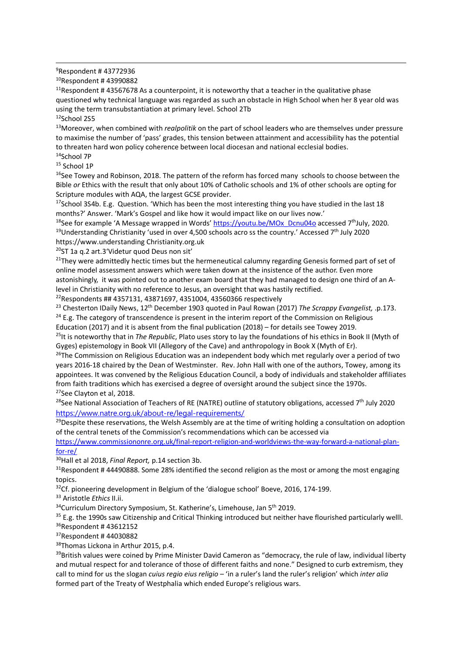<span id="page-15-0"></span>9 Respondent # 43772936

<span id="page-15-1"></span>10Respondent # 43990882

<span id="page-15-2"></span><sup>11</sup>Respondent # 43567678 As a counterpoint, it is noteworthy that a teacher in the qualitative phase questioned why technical language was regarded as such an obstacle in High School when her 8 year old was using the term transubstantiation at primary level. School 2Tb

<span id="page-15-3"></span>12School 2S5

<span id="page-15-4"></span>13Moreover, when combined with *realpolitik* on the part of school leaders who are themselves under pressure to maximise the number of 'pass' grades, this tension between attainment and accessibility has the potential to threaten hard won policy coherence between local diocesan and national ecclesial bodies.

<span id="page-15-5"></span>14School 7P

<span id="page-15-6"></span> $15$  School 1P

<span id="page-15-7"></span> $16$ See Towey and Robinson, 2018. The pattern of the reform has forced many schools to choose between the Bible *or* Ethics with the result that only about 10% of Catholic schools and 1% of other schools are opting for Scripture modules with AQA, the largest GCSE provider.

<span id="page-15-8"></span><sup>17</sup>School 3S4b. E.g. Question. 'Which has been the most interesting thing you have studied in the last 18 months?' Answer. 'Mark's Gospel and like how it [would impact like on our lives now](https://youtu.be/MOx_Dcnu04o).'<br><sup>18</sup>See for example 'A Message wrapped in Words' https://youtu.be/MOx\_Dcnu04o accessed 7<sup>th</sup>July, 2020.

<span id="page-15-10"></span><span id="page-15-9"></span><sup>19</sup>Understanding Christianity 'used in over 4,500 schools acro ss the country.' Accessed 7<sup>th</sup> July 2020 https://www.understanding Christianity.org.uk

<span id="page-15-11"></span>20ST 1a q.2 art.3'Videtur quod Deus non sit'

<span id="page-15-12"></span><sup>21</sup>They were admittedly hectic times but the hermeneutical calumny regarding Genesis formed part of set of online model assessment answers which were taken down at the insistence of the author. Even more astonishingly, it was pointed out to another exam board that they had managed to design one third of an Alevel in Christianity with no reference to Jesus, an oversight that was hastily rectified.

<span id="page-15-13"></span>22Respondents ## 4357131, 43871697, 4351004, 43560366 respectively

<span id="page-15-14"></span><sup>23</sup> Chesterton IDaily News, 12th December 1903 quoted in Paul Rowan (2017) *The Scrappy Evangelist,* .p.173.

<span id="page-15-15"></span> $24$  E.g. The category of transcendence is present in the interim report of the Commission on Religious Education (2017) and it is absent from the final publication (2018) – for details see Towey 2019.

<span id="page-15-16"></span>25It is noteworthy that in *The Republic*, Plato uses story to lay the foundations of his ethics in Book II (Myth of Gyges) epistemology in Book VII (Allegory of the Cave) and anthropology in Book X (Myth of Er).

<span id="page-15-17"></span><sup>26</sup>The Commission on Religious Education was an independent body which met regularly over a period of two years 2016-18 chaired by the Dean of Westminster. Rev. John Hall with one of the authors, Towey, among its appointees. It was convened by the Religious Education Council, a body of individuals and stakeholder affiliates from faith traditions which has exercised a degree of oversight around the subject since the 1970s. 27See Clayton et al, 2018.

<span id="page-15-19"></span><span id="page-15-18"></span><sup>28</sup>See National Association of Teachers of RE (NATRE) outline of statutory obligations, accessed 7<sup>th</sup> July 2020 [https://www.natre.org.uk/about-re/legal-requirements/](https://url6.mailanyone.net/v1/?m=1jsoXW-00005U-5b&i=57e1b682&c=YEl_EaGMSY8bUGukgvynQ7xIhrXpkfWXeg4jrHWY4S82myNPRzUlWXVLAwZY2GXU1irSrO_-uFM_PSnaUCcvUd3R8I3NxTD89I-aeg8ULl7Qa-sFAWEN6MWvXfRmGgYuhgZ04Xzhyk9dMlCHdA2t3DvLtElU3kjHZr1Wagc889LGtgORgDDMa0Q4wCPuUfaplU0R_NpD8fYfuMhf_jHmze6NM_u3qJj1QkXO8jTuyvM48L6B2eske8VtZaUqTprh)

<span id="page-15-20"></span> $^{29}$ Despite these reservations, the Welsh Assembly are at the time of writing holding a consultation on adoption of the central tenets of the Commission's recommendations which can be accessed via

[https://www.commissiononre.org.uk/final-report-religion-and-worldviews-the-way-forward-a-national-plan](https://url6.mailanyone.net/v1/?m=1jsofD-0000BG-3a&i=57e1b682&c=Q2lP5_E9vKoiu6sYZzdfTEeRmd-OvK9hG7s5khawg1Gq7pk4N-PuXVENhQYK8KpO3ufoXfM6yWaVBbEn_uUaMVlJlfxwZJ04Fdl0W8srXfDWkPjiZoDRweJkExtOcry0ucnpee9QQl6tLhxCD7W88zqDaagMyeRY_OFRlqHLMgYpN61-J-dJbcTOzAkBIS21BfwQhQq5nCvutgQS7OGt2a80MExgbf8DJ_xk5zG41difCVAspK3n1ZBgmXWUZIIzMy_6wf_Xu1zgW7MxGi_H4paihZNS5zn4gUNF6MTf1rG4veot8GL4Gxp18DsuSyXrhcYbLZjF_f83nV3nfVgkCg)[for-re/](https://url6.mailanyone.net/v1/?m=1jsofD-0000BG-3a&i=57e1b682&c=Q2lP5_E9vKoiu6sYZzdfTEeRmd-OvK9hG7s5khawg1Gq7pk4N-PuXVENhQYK8KpO3ufoXfM6yWaVBbEn_uUaMVlJlfxwZJ04Fdl0W8srXfDWkPjiZoDRweJkExtOcry0ucnpee9QQl6tLhxCD7W88zqDaagMyeRY_OFRlqHLMgYpN61-J-dJbcTOzAkBIS21BfwQhQq5nCvutgQS7OGt2a80MExgbf8DJ_xk5zG41difCVAspK3n1ZBgmXWUZIIzMy_6wf_Xu1zgW7MxGi_H4paihZNS5zn4gUNF6MTf1rG4veot8GL4Gxp18DsuSyXrhcYbLZjF_f83nV3nfVgkCg)

<span id="page-15-21"></span>30Hall et al 2018, *Final Report,* p.14 section 3b.

<span id="page-15-22"></span> $31$ Respondent # 44490888. Some 28% identified the second religion as the most or among the most engaging topics.

<span id="page-15-23"></span> $32Cf.$  pioneering development in Belgium of the 'dialogue school' Boeve, 2016, 174-199.

<span id="page-15-24"></span><sup>33</sup> Aristotle *Ethics* II.ii.

<span id="page-15-25"></span><sup>34</sup>Curriculum Directory Symposium, St. Katherine's, Limehouse, Jan 5<sup>th</sup> 2019.

<span id="page-15-26"></span><sup>35</sup> E.g. the 1990s saw Citizenship and Critical Thinking introduced but neither have flourished particularly welll.

<span id="page-15-27"></span>36Respondent # 43612152 37Respondent # 44030882

<span id="page-15-29"></span><span id="page-15-28"></span>38Thomas Lickona in Arthur 2015, p.4.

<span id="page-15-30"></span><sup>39</sup>British values were coined by Prime Minister David Cameron as "democracy, the rule of law, individual liberty and mutual respect for and tolerance of those of different faiths and none." Designed to curb extremism, they call to mind for us the slogan *cuius regio eius religio* – 'in a ruler's land the ruler's religion' which *inter alia*  formed part of the Treaty of Westphalia which ended Europe's religious wars.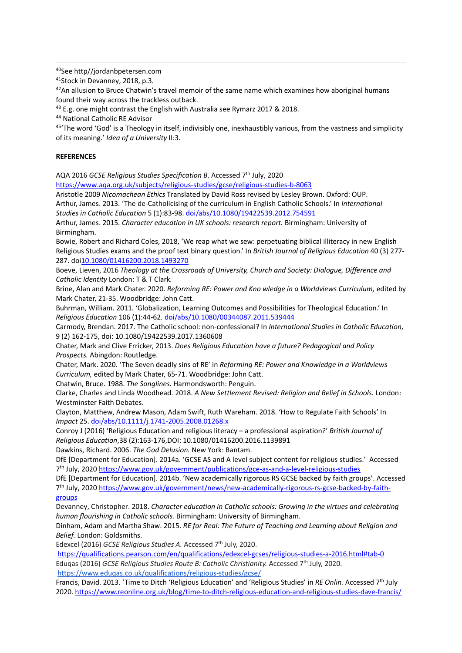<span id="page-16-0"></span>40See http//jordanbpetersen.com

<span id="page-16-1"></span>41Stock in Devanney, 2018, p.3.

<span id="page-16-2"></span> $42$ An allusion to Bruce Chatwin's travel memoir of the same name which examines how aboriginal humans found their way across the trackless outback.

<span id="page-16-3"></span><sup>43</sup> E.g. one might contrast the English with Australia see Rymarz 2017 & 2018.<br><sup>44</sup> National Catholic RE Advisor

<span id="page-16-4"></span>

<span id="page-16-5"></span><sup>45</sup>'The word 'God' is a Theology in itself, indivisibly one, inexhaustibly various, from the vastness and simplicity of its meaning.' *Idea of a University* II:3.

#### **REFERENCES**

AQA 2016 *GCSE Religious Studies Specification B*. Accessed 7<sup>th</sup> July, 2020

<https://www.aqa.org.uk/subjects/religious-studies/gcse/religious-studies-b-8063>

Aristotle 2009 *Nicomachean Ethics* Translated by David Ross revised by Lesley Brown. Oxford: OUP. Arthur, James. 2013. 'The de-Catholicising of the curriculum in English Catholic Schools.' In *International Studies in Catholic Education* 5 (1):83-98[. doi/abs/10.1080/19422539.2012.754591](https://url6.mailanyone.net/v1/?m=1jsiDd-0003fz-3i&i=57e1b682&c=Vd7YWeUbYW2rO92ezhOLtLjRkIXBBqowM0VmTT-85zl1IPzWrHCzJ9lRPjtyA0s0iGAgVhr8G8LinhbC-oKJ4vHG_UCG53Zlaem296WA_nH020UVQfsdZhtnZBbTyL7eUnlKjP1WAbXNknz5K0Gwe_j5YdIrSZUxuSjzmt5sxGapUSqI6q3p1UqoXCq5q7X2lAcYKOnTjoP_FlVFyEW6KAMeyQ5jlt3Kjev4Oh7K3edWfZL1VE7_hQTXO4M0vF9X1Ln7fN-IHzhpWMvJskJeZw) 

Arthur, James. 2015. *Character education in UK schools: research report.* Birmingham: University of Birmingham.

Bowie, Robert and Richard Coles, 2018, 'We reap what we sew: perpetuating biblical illiteracy in new English Religious Studies exams and the proof text binary question.' In *British Journal of Religious Education* 40 (3) 277- 287. do[i10.1080/01416200.2018.1493270](https://doi.org/10.1080/01416200.2018.1493270)

Boeve, Lieven, 2016 *Theology at the Crossroads of University, Church and Society: Dialogue, Difference and Catholic Identity* London: T & T Clark*.* 

Brine, Alan and Mark Chater. 2020. *Reforming RE: Power and Kno wledge in a Worldviews Curriculum, edited by* Mark Chater, 21-35. Woodbridge: John Catt.

Buhrman, William. 2011. 'Globalization, Learning Outcomes and Possibilities for Theological Education.' In *Religious Education* 106 (1):44-62. [doi/abs/10.1080/00344087.2011.539444](https://url6.mailanyone.net/v1/?m=1jsiCW-0000Bq-3d&i=57e1b682&c=Q6XM_BojtIudpdPrhjiGa7e1e3IuMXbiLu9LKrutg_yBVlHVhRBjzvZpbPveFRm6tUKdcpmE2Lq0THZ5JLxzVu05flEw_bMWAbkF6PfUfCxF8zL3A9AFw6BSh2g5njhqsVM_GzxenVcxHW8S9U4YAGiDPIy3m2oyDFwAs-I276MAajDyi3AuSmksbBt2Ibyv2v9Y9UuAX0-H8yFmnoBJ0s59jP3vWxZ_Ud4EQtIj36UCBn3rKuIyH7H6zEqKflsjPfsQLbUeU0-HDqabMbvOog)

Carmody, Brendan. 2017. The Catholic school: non-confessional? In *International Studies in Catholic Education*, 9 (2) 162-175, doi: 10.1080/19422539.2017.1360608

Chater, Mark and Clive Erricker, 2013. *Does Religious Education have a future? Pedagogical and Policy Prospects.* Abingdon: Routledge.

Chater, Mark. 2020. 'The Seven deadly sins of RE' in *Reforming RE: Power and Knowledge in a Worldviews Curriculum,* edited by Mark Chater, 65-71. Woodbridge: John Catt.

Chatwin, Bruce. 1988. *The Songlines.* Harmondsworth: Penguin.

Clarke, Charles and Linda Woodhead. 2018. *A New Settlement Revised: Religion and Belief in Schools.* London: Westminster Faith Debates.

Clayton, Matthew, Andrew Mason, Adam Swift, Ruth Wareham. 2018. 'How to Regulate Faith Schools' In *Impact* 25[. doi/abs/10.1111/j.1741-2005.2008.01268.x](https://url6.mailanyone.net/v1/?m=1jsj1a-000A4G-58&i=57e1b682&c=-IXJ_ZGggnfPbvHx3YtYcstTF5l6pY3UGcgRJxekQaLuLDmMc34GGzmmiJUlmjWpBMxjc9rHvxQC4-NbgDjnbgjFxATy0V6pgIZL0XVqIKRD8z3x2juSGv7fZkkFFdO-tjdIpkXw-h_sYo8LtHtGvbGMWguikgRRtgOU006SrVh4lr8jn4MqDfWvbo8vdH6S1uGFnXCnn1MEq1SdgKQ_xdhUOrnRSbmOcgB-HItildjm08H7-Ivvjwrjla8j7tOB7nh8gcombo7X_rr5jnZAtvSkXBXuCHa-rrUzR5kzjDY)

Conroy J (2016) 'Religious Education and religious literacy – a professional aspiration?' *British Journal of Religious Education*,38 (2):163-176,DOI: [10.1080/01416200.2016.1139891](https://doi.org/10.1080/01416200.2016.1139891)

Dawkins, Richard. 2006. *The God Delusion.* New York: Bantam.

DfE [Department for Education]. 2014a. 'GCSE AS and A level subject content for religious studies.' Accessed 7th July, 202[0 https://www.gov.uk/government/publications/gce-as-and-a-level-religious-studies](https://www.gov.uk/government/publications/gce-as-and-a-level-religious-studies) 

DfE [Department for Education]. 2014b. 'New academically rigorous RS GCSE backed by faith groups'. Accessed 7th July, 202[0 https://www.gov.uk/government/news/new-academically-rigorous-rs-gcse-backed-by-faith-](https://www.gov.uk/government/news/new-academically-rigorous-rs-gcse-backed-by-faith-groups)

[groups](https://www.gov.uk/government/news/new-academically-rigorous-rs-gcse-backed-by-faith-groups)

Devanney, Christopher. 2018. *Character education in Catholic schools: Growing in the virtues and celebrating human flourishing in Catholic schools.* Birmingham: University of Birmingham.

Dinham, Adam and Martha Shaw. 2015. *RE for Real: The Future of Teaching and Learning about Religion and Belief.* London: Goldsmiths.

Edexcel (2016) *GCSE Religious Studies A. Accessed 7<sup>th</sup> July, 2020.* 

<https://qualifications.pearson.com/en/qualifications/edexcel-gcses/religious-studies-a-2016.html#tab-0>

Eduqas (2016) *GCSE Religious Studies Route B: Catholic Christianity.* Accessed 7th July, 2020.

<https://www.eduqas.co.uk/qualifications/religious-studies/gcse/>

Francis, David. 2013. 'Time to Ditch 'Religious Education' and 'Religious Studies' in *RE Onlin.* Accessed 7th July 2020. [https://www.reonline.org.uk/blog/time-to-ditch-religious-education-and-religious-studies-dave-francis/](https://url4.mailanyone.net/v1/?m=1jshi7-0009kd-6I&i=57e1b682&c=nJAW09aNsFHkI0W06KIRx4ag27KgO15rWWGtniD0LEvV0NDltOuyZmhGCXiV52rOTMlWbwjjIAKpNIqIUVF-niN2nSgqC4XiXkxiCRDrQV-8O3ZZ2_fS794hlVu1zyHlI_Ejc5Wym5cwyT2-asTnJxApMqnjEJTYdpLb-7vbK3lvm3YDjouA6Z244QpdEwajiZvpYNElKjNApu9lWZ9apqk6eY7ZyOy6A_P8-Su2_RthAS_1E0Ze2OwyecG6EqEiV8D_pP7x8ofT79r8DZZ60lwAJFn3SuxaOAnwbD5cSntR4_Z2lv7QNkJle7RgHry7y8tQbCD-kXZQdzgm1uhhlA)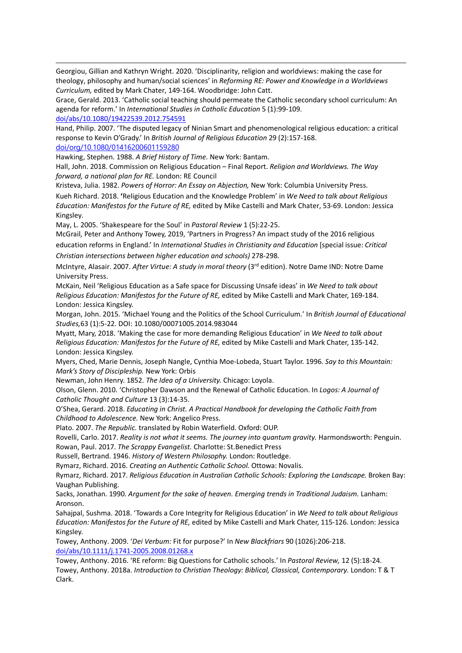Georgiou, Gillian and Kathryn Wright. 2020. 'Disciplinarity, religion and worldviews: making the case for theology, philosophy and human/social sciences' in *Reforming RE: Power and Knowledge in a Worldviews Curriculum,* edited by Mark Chater, 149-164. Woodbridge: John Catt.

Grace, Gerald. 2013. 'Catholic social teaching should permeate the Catholic secondary school curriculum: An agenda for reform.' In *International Studies in Catholic Education* 5 (1):99-109.

[doi/abs/10.1080/19422539.2012.754591](https://url6.mailanyone.net/v1/?m=1jsiDd-0003fz-3i&i=57e1b682&c=Vd7YWeUbYW2rO92ezhOLtLjRkIXBBqowM0VmTT-85zl1IPzWrHCzJ9lRPjtyA0s0iGAgVhr8G8LinhbC-oKJ4vHG_UCG53Zlaem296WA_nH020UVQfsdZhtnZBbTyL7eUnlKjP1WAbXNknz5K0Gwe_j5YdIrSZUxuSjzmt5sxGapUSqI6q3p1UqoXCq5q7X2lAcYKOnTjoP_FlVFyEW6KAMeyQ5jlt3Kjev4Oh7K3edWfZL1VE7_hQTXO4M0vF9X1Ln7fN-IHzhpWMvJskJeZw)

Hand, Philip. 2007. 'The disputed legacy of Ninian Smart and phenomenological religious education: a critical response to Kevin O'Grady.' In *British Journal of Religious Education* 29 (2):157-168.

[doi/org/10.1080/01416200601159280](https://url6.mailanyone.net/v1/?m=1jshDp-0006YP-3s&i=57e1b682&c=cufGlKYmL9HIWkeTPzVau0PnWAAJedkroLWvUNUvEz5FyxuGXc0kCmBzyxRtgC8sSHFFZVULGWwYJnkNiwijyxVujs5eZHhO-3awX0JtaSpO5faGHMEXhKJLyaVKITlFp96pRcsS7pMg503XAfZ7s1k9QuHhEmjoG2Wntm0NeZOA8WZphqEwhoVbSL2auat2pxOBRrte8g-z6yDqKS6J9bNHsdYFQTFLdLRcKiCtAcbt5notl3LuDoXD1sF8B_qIt6dGSjIjD7PZD6uyx4_Y4A)

Hawking, Stephen. 1988. *A Brief History of Time.* New York: Bantam.

Hall, John. 2018. Commission on Religious Education – Final Report. *Religion and Worldviews. The Way forward, a national plan for RE.* London: RE Council

Kristeva, Julia. 1982. *Powers of Horror: An Essay on Abjection,* New York: Columbia University Press.

Kueh Richard. 2018. **'**Religious Education and the Knowledge Problem' in *We Need to talk about Religious Education: Manifestos for the Future of RE,* edited by Mike Castelli and Mark Chater, 53-69. London: Jessica Kingsley.

May, L. 2005. 'Shakespeare for the Soul' in *Pastoral Review* 1 (5):22-25.

McGrail, Peter and Anthony Towey, 2019, 'Partners in Progress? An impact study of the 2016 religious education reforms in England.' In *International Studies in Christianity and Education* [special issue: *Critical* 

*Christian intersections between higher education and schools)* 278-298.

McIntyre, Alasair. 2007. After Virtue: A study in moral theory (3<sup>rd</sup> edition). Notre Dame IND: Notre Dame University Press.

McKain, Neil 'Religious Education as a Safe space for Discussing Unsafe ideas' in *We Need to talk about Religious Education: Manifestos for the Future of RE,* edited by Mike Castelli and Mark Chater, 169-184. London: Jessica Kingsley.

Morgan, John. 2015. 'Michael Young and the Politics of the School Curriculum.' In *British Journal of Educational Studies,*63 (1):5-22. DOI: [10.1080/00071005.2014.983044](https://doi.org/10.1080/00071005.2014.983044)

Myatt, Mary, 2018. 'Making the case for more demanding Religious Education' in *We Need to talk about Religious Education: Manifestos for the Future of RE,* edited by Mike Castelli and Mark Chater, 135-142. London: Jessica Kingsley.

Myers, Ched, Marie Dennis, Joseph Nangle, Cynthia Moe-Lobeda, Stuart Taylor. 1996. *Say to this Mountain: Mark's Story of Discipleship.* New York: Orbis

Newman, John Henry. 1852. *The Idea of a University.* Chicago: Loyola.

Olson, Glenn. 2010. 'Christopher Dawson and the Renewal of Catholic Education. In *Logos: A Journal of Catholic Thought and Culture* 13 (3):14-35.

O'Shea, Gerard. 2018. *Educating in Christ. A Practical Handbook for developing the Catholic Faith from Childhood to Adolescence.* New York: Angelico Press.

Plato. 2007. *The Republic.* translated by Robin Waterfield. Oxford: OUP.

Rovelli, Carlo. 2017. *Reality is not what it seems. The journey into quantum gravity.* Harmondsworth: Penguin. Rowan, Paul. 2017. *The Scrappy Evangelist.* Charlotte: St.Benedict Press

Russell, Bertrand. 1946. *History of Western Philosophy.* London: Routledge.

Rymarz, Richard. 2016. *Creating an Authentic Catholic School.* Ottowa: Novalis.

Rymarz, Richard. 2017. *Religious Education in Australian Catholic Schools: Exploring the Landscape.* Broken Bay: Vaughan Publishing.

Sacks, Jonathan. 1990. *Argument for the sake of heaven. Emerging trends in Traditional Judaism.* Lanham: Aronson.

Sahajpal, Sushma. 2018. 'Towards a Core Integrity for Religious Education' in *We Need to talk about Religious Education: Manifestos for the Future of RE,* edited by Mike Castelli and Mark Chater, 115-126. London: Jessica Kingsley.

Towey, Anthony. 2009. '*Dei Verbum:* Fit for purpose?' In *New Blackfriars* 90 (1026):206-218. [doi/abs/10.1111/j.1741-2005.2008.01268.x](https://url6.mailanyone.net/v1/?m=1jsj1a-000A4G-58&i=57e1b682&c=-IXJ_ZGggnfPbvHx3YtYcstTF5l6pY3UGcgRJxekQaLuLDmMc34GGzmmiJUlmjWpBMxjc9rHvxQC4-NbgDjnbgjFxATy0V6pgIZL0XVqIKRD8z3x2juSGv7fZkkFFdO-tjdIpkXw-h_sYo8LtHtGvbGMWguikgRRtgOU006SrVh4lr8jn4MqDfWvbo8vdH6S1uGFnXCnn1MEq1SdgKQ_xdhUOrnRSbmOcgB-HItildjm08H7-Ivvjwrjla8j7tOB7nh8gcombo7X_rr5jnZAtvSkXBXuCHa-rrUzR5kzjDY)

Towey, Anthony. 2016. 'RE reform: Big Questions for Catholic schools.' In *Pastoral Review,* 12 (5):18-24. Towey, Anthony. 2018a. *Introduction to Christian Theology: Biblical, Classical, Contemporary.* London: T & T Clark.